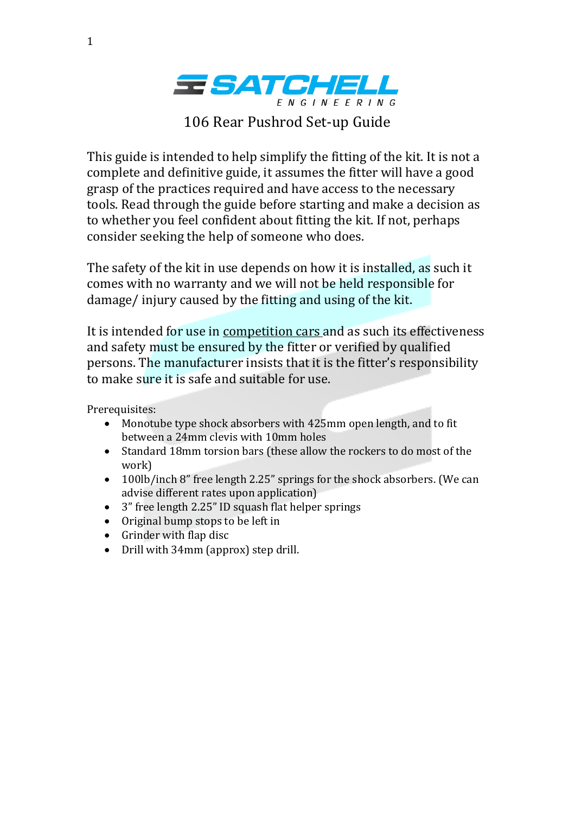

106 Rear Pushrod Set-up Guide

This guide is intended to help simplify the fitting of the kit. It is not a complete and definitive guide, it assumes the fitter will have a good grasp of the practices required and have access to the necessary tools. Read through the guide before starting and make a decision as to whether you feel confident about fitting the kit. If not, perhaps consider seeking the help of someone who does.

The safety of the kit in use depends on how it is installed, as such it comes with no warranty and we will not be held responsible for damage/ injury caused by the fitting and using of the kit.

It is intended for use in competition cars and as such its effectiveness and safety must be ensured by the fitter or verified by qualified persons. The manufacturer insists that it is the fitter's responsibility to make sure it is safe and suitable for use.

Prerequisites:

- Monotube type shock absorbers with 425mm open length, and to fit between a 24mm clevis with 10mm holes
- Standard 18mm torsion bars (these allow the rockers to do most of the work)
- 100lb/inch 8" free length 2.25" springs for the shock absorbers. (We can advise different rates upon application)
- 3" free length 2.25" ID squash flat helper springs
- Original bump stops to be left in
- Grinder with flap disc
- Drill with 34mm (approx) step drill.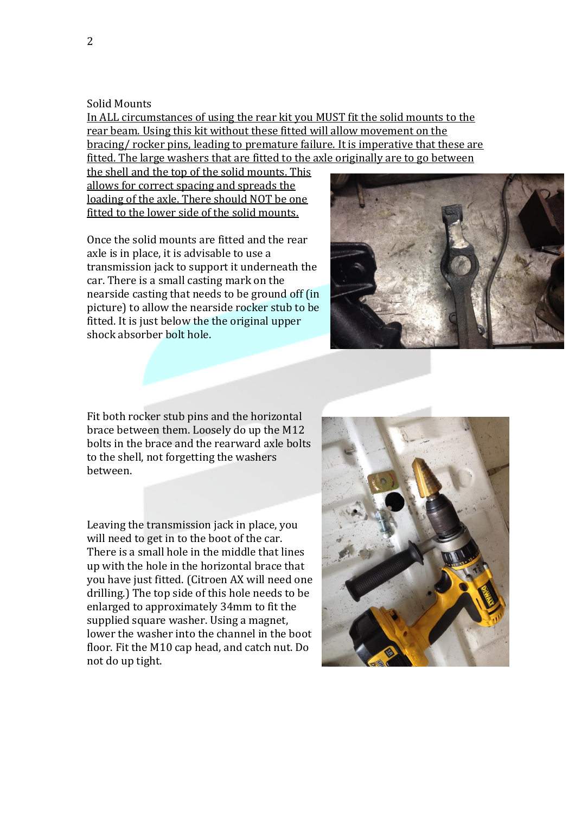## Solid Mounts

In ALL circumstances of using the rear kit you MUST fit the solid mounts to the rear beam. Using this kit without these fitted will allow movement on the bracing/ rocker pins, leading to premature failure. It is imperative that these are fitted. The large washers that are fitted to the axle originally are to go between

the shell and the top of the solid mounts. This allows for correct spacing and spreads the loading of the axle. There should NOT be one fitted to the lower side of the solid mounts.

Once the solid mounts are fitted and the rear axle is in place, it is advisable to use a transmission jack to support it underneath the car. There is a small casting mark on the nearside casting that needs to be ground off (in picture) to allow the nearside rocker stub to be fitted. It is just below the the original upper shock absorber bolt hole.



Fit both rocker stub pins and the horizontal brace between them. Loosely do up the M12 bolts in the brace and the rearward axle bolts to the shell, not forgetting the washers between.

Leaving the transmission jack in place, you will need to get in to the boot of the car. There is a small hole in the middle that lines up with the hole in the horizontal brace that you have just fitted. (Citroen AX will need one drilling.) The top side of this hole needs to be enlarged to approximately 34mm to fit the supplied square washer. Using a magnet, lower the washer into the channel in the boot floor. Fit the M10 cap head, and catch nut. Do not do up tight.